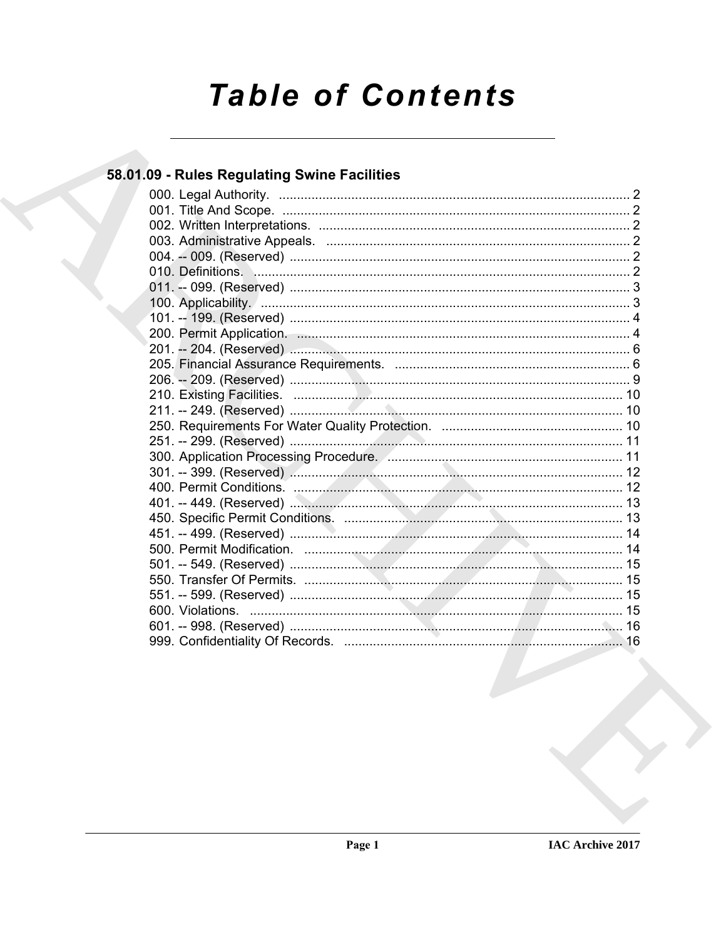# **Table of Contents**

# 58.01.09 - Rules Regulating Swine Facilities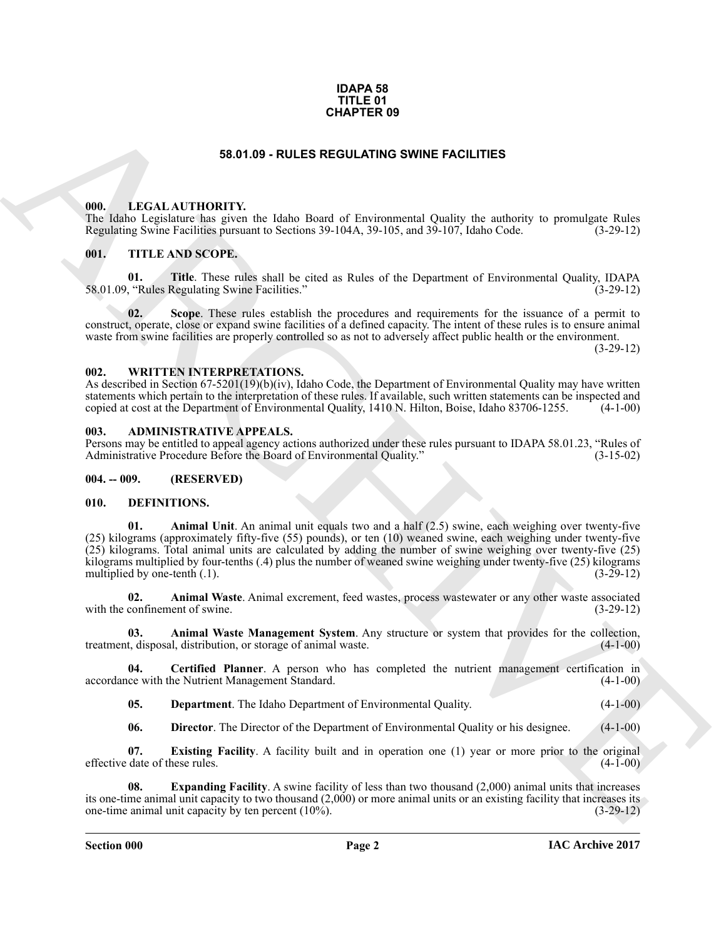#### **IDAPA 58 TITLE 01 CHAPTER 09**

#### **58.01.09 - RULES REGULATING SWINE FACILITIES**

#### <span id="page-1-1"></span><span id="page-1-0"></span>**000. LEGAL AUTHORITY.**

The Idaho Legislature has given the Idaho Board of Environmental Quality the authority to promulgate Rules Regulating Swine Facilities pursuant to Sections 39-104A, 39-105, and 39-107, Idaho Code. (3-29-12)

#### <span id="page-1-2"></span>**001. TITLE AND SCOPE.**

**01. Title**. These rules shall be cited as Rules of the Department of Environmental Quality, IDAPA 58.01.09, "Rules Regulating Swine Facilities." (3-29-12)

**02. Scope**. These rules establish the procedures and requirements for the issuance of a permit to construct, operate, close or expand swine facilities of a defined capacity. The intent of these rules is to ensure animal waste from swine facilities are properly controlled so as not to adversely affect public health or the environment.

(3-29-12)

#### <span id="page-1-3"></span>**002. WRITTEN INTERPRETATIONS.**

As described in Section 67-5201(19)(b)(iv), Idaho Code, the Department of Environmental Quality may have written statements which pertain to the interpretation of these rules. If available, such written statements can be inspected and copied at cost at the Department of Environmental Quality, 1410 N. Hilton, Boise, Idaho 83706-1255. (4-1-00)

#### <span id="page-1-4"></span>**003. ADMINISTRATIVE APPEALS.**

Persons may be entitled to appeal agency actions authorized under these rules pursuant to IDAPA 58.01.23, "Rules of Administrative Procedure Before the Board of Environmental Quality."

#### <span id="page-1-5"></span>**004. -- 009. (RESERVED)**

#### <span id="page-1-7"></span><span id="page-1-6"></span>**010. DEFINITIONS.**

**CHAPTER 09**<br> **CHARCH MITIONITY** the false Doset of Designment Could by the subset to promising Bale Repuber, and the subset of Designment Scheme and Could by the subset of Designment Could by the subset of Designment Cou **01. Animal Unit**. An animal unit equals two and a half (2.5) swine, each weighing over twenty-five (25) kilograms (approximately fifty-five (55) pounds), or ten (10) weaned swine, each weighing under twenty-five (25) kilograms. Total animal units are calculated by adding the number of swine weighing over twenty-five (25) kilograms multiplied by four-tenths (.4) plus the number of weaned swine weighing under twenty-five (25) kilograms multiplied by one-tenth (.1).  $(3-29-12)$ multiplied by one-tenth  $(1)$ .

<span id="page-1-8"></span>**02. Animal Waste**. Animal excrement, feed wastes, process wastewater or any other waste associated with the confinement of swine.

<span id="page-1-9"></span>**03.** Animal Waste Management System. Any structure or system that provides for the collection, t, disposal, distribution, or storage of animal waste. (4-1-00) treatment, disposal, distribution, or storage of animal waste.

**04.** Certified Planner. A person who has completed the nutrient management certification in ce with the Nutrient Management Standard. (4-1-00) accordance with the Nutrient Management Standard.

<span id="page-1-11"></span><span id="page-1-10"></span>**05. Department**. The Idaho Department of Environmental Quality. (4-1-00)

<span id="page-1-14"></span><span id="page-1-13"></span><span id="page-1-12"></span>**06. Director**. The Director of the Department of Environmental Quality or his designee. (4-1-00)

**07. Existing Facility**. A facility built and in operation one (1) year or more prior to the original date of these rules. (4-1-00) effective date of these rules.

**08. Expanding Facility**. A swine facility of less than two thousand (2,000) animal units that increases its one-time animal unit capacity to two thousand  $(2,000)$  or more animal units or an existing facility that increases its one-time animal unit capacity by ten percent  $(10\%)$ .  $(3-29-12)$ one-time animal unit capacity by ten percent  $(10\%)$ .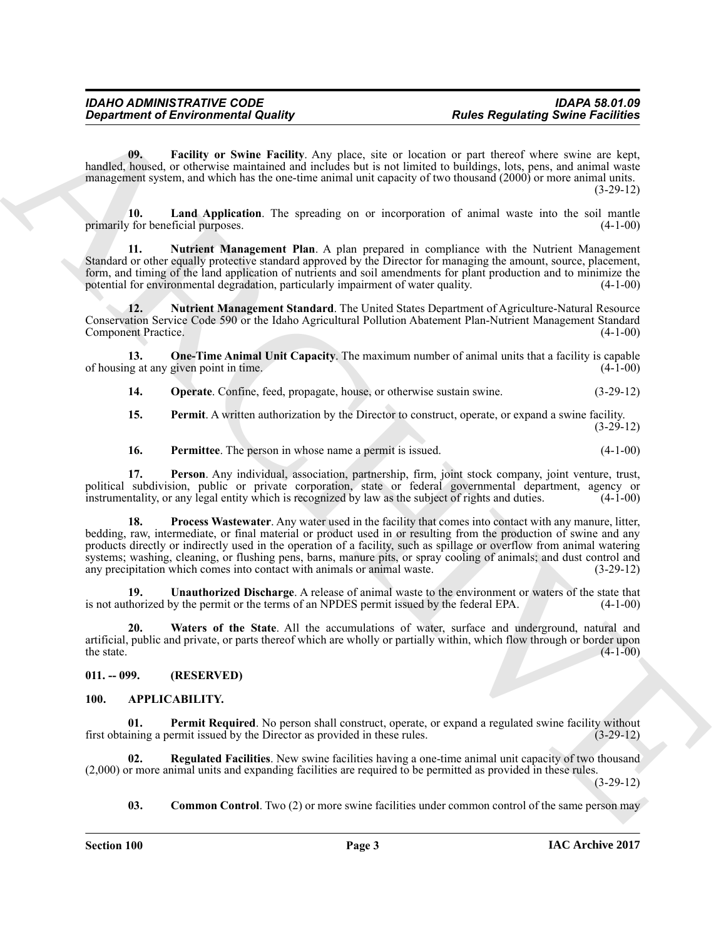<span id="page-2-6"></span>**09. Facility or Swine Facility**. Any place, site or location or part thereof where swine are kept, handled, housed, or otherwise maintained and includes but is not limited to buildings, lots, pens, and animal waste management system, and which has the one-time animal unit capacity of two thousand (2000) or more animal units. (3-29-12)

<span id="page-2-7"></span>**10.** Land Application. The spreading on or incorporation of animal waste into the soil mantle  $\gamma$  for beneficial purposes. (4-1-00) primarily for beneficial purposes.

<span id="page-2-8"></span>**11. Nutrient Management Plan**. A plan prepared in compliance with the Nutrient Management Standard or other equally protective standard approved by the Director for managing the amount, source, placement, form, and timing of the land application of nutrients and soil amendments for plant production and to minimize the potential for environmental degradation, particularly impairment of water quality. (4-1-00) potential for environmental degradation, particularly impairment of water quality.

<span id="page-2-9"></span>**12. Nutrient Management Standard**. The United States Department of Agriculture-Natural Resource Conservation Service Code 590 or the Idaho Agricultural Pollution Abatement Plan-Nutrient Management Standard Component Practice.

**13. One-Time Animal Unit Capacity**. The maximum number of animal units that a facility is capable of housing at any given point in time.

<span id="page-2-11"></span><span id="page-2-10"></span>**14. Operate**. Confine, feed, propagate, house, or otherwise sustain swine. (3-29-12)

<span id="page-2-12"></span>**15. Permit**. A written authorization by the Director to construct, operate, or expand a swine facility. (3-29-12)

<span id="page-2-15"></span><span id="page-2-14"></span><span id="page-2-13"></span>**16.** Permittee. The person in whose name a permit is issued. (4-1-00)

**17. Person**. Any individual, association, partnership, firm, joint stock company, joint venture, trust, political subdivision, public or private corporation, state or federal governmental department, agency or instrumentality or any legal entity which is recognized by law as the subject of rights and duties. (4-1-00) instrumentality, or any legal entity which is recognized by law as the subject of rights and duties.

Government of Environmental Quality.<br>
Separations of Eucklides Source is the state of the state of the state of the state of the state of the state of the state of the state of the state of the state of the state of the s **18. Process Wastewater**. Any water used in the facility that comes into contact with any manure, litter, bedding, raw, intermediate, or final material or product used in or resulting from the production of swine and any products directly or indirectly used in the operation of a facility, such as spillage or overflow from animal watering systems; washing, cleaning, or flushing pens, barns, manure pits, or spray cooling of animals; and dust control and any precipitation which comes into contact with animals or animal waste. (3-29-12)

<span id="page-2-16"></span>**19.** Unauthorized Discharge. A release of animal waste to the environment or waters of the state that horized by the permit or the terms of an NPDES permit issued by the federal EPA. (4-1-00) is not authorized by the permit or the terms of an NPDES permit issued by the federal EPA.

<span id="page-2-17"></span>**20. Waters of the State**. All the accumulations of water, surface and underground, natural and artificial, public and private, or parts thereof which are wholly or partially within, which flow through or border upon the state.  $(4-1-00)$ 

# <span id="page-2-0"></span>**011. -- 099. (RESERVED)**

# <span id="page-2-4"></span><span id="page-2-2"></span><span id="page-2-1"></span>**100. APPLICABILITY.**

**01. Permit Required**. No person shall construct, operate, or expand a regulated swine facility without ining a permit issued by the Director as provided in these rules. (3-29-12) first obtaining a permit issued by the Director as provided in these rules.

**02. Regulated Facilities**. New swine facilities having a one-time animal unit capacity of two thousand (2,000) or more animal units and expanding facilities are required to be permitted as provided in these rules.  $(3-29-12)$ 

<span id="page-2-5"></span><span id="page-2-3"></span>**03. Common Control**. Two (2) or more swine facilities under common control of the same person may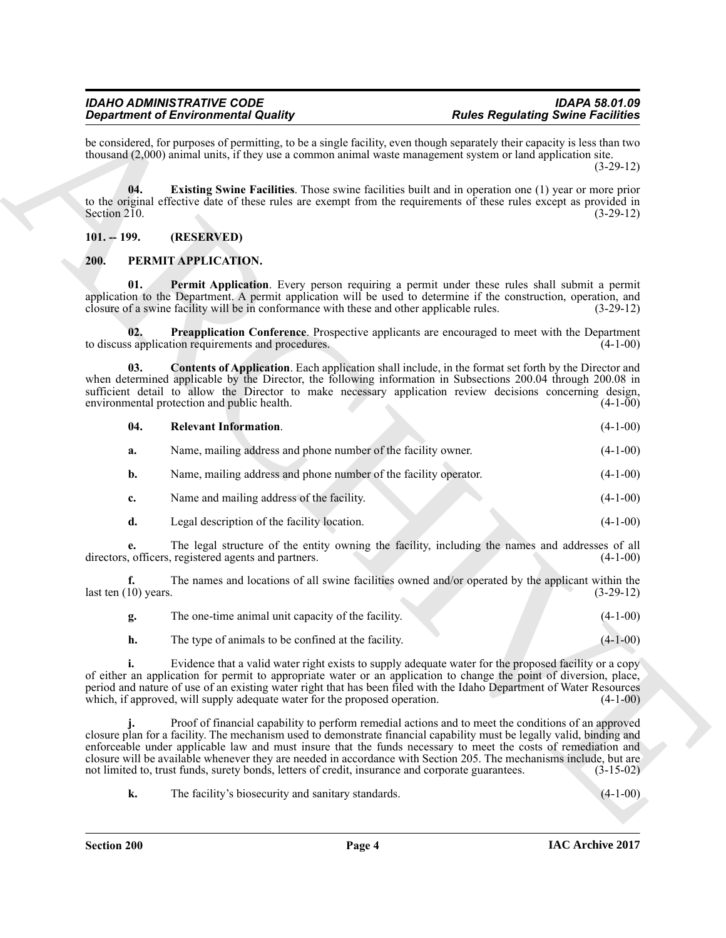# <span id="page-3-2"></span><span id="page-3-0"></span>**101. -- 199. (RESERVED)**

# <span id="page-3-7"></span><span id="page-3-6"></span><span id="page-3-5"></span><span id="page-3-4"></span><span id="page-3-3"></span><span id="page-3-1"></span>**200. PERMIT APPLICATION.**

|                                   | <b>Department of Environmental Quality</b>                                                                                                                                                                                                                                                                                                                                                                                         | <b>Rules Regulating Swine Facilities</b> |             |
|-----------------------------------|------------------------------------------------------------------------------------------------------------------------------------------------------------------------------------------------------------------------------------------------------------------------------------------------------------------------------------------------------------------------------------------------------------------------------------|------------------------------------------|-------------|
|                                   | be considered, for purposes of permitting, to be a single facility, even though separately their capacity is less than two<br>thousand $(2,000)$ animal units, if they use a common animal waste management system or land application site.                                                                                                                                                                                       |                                          | $(3-29-12)$ |
| 04.<br>Section $2\overline{1}0$ . | <b>Existing Swine Facilities</b> . Those swine facilities built and in operation one (1) year or more prior<br>to the original effective date of these rules are exempt from the requirements of these rules except as provided in                                                                                                                                                                                                 |                                          | $(3-29-12)$ |
| $101. - 199.$                     | (RESERVED)                                                                                                                                                                                                                                                                                                                                                                                                                         |                                          |             |
| 200.                              | PERMIT APPLICATION.                                                                                                                                                                                                                                                                                                                                                                                                                |                                          |             |
| 01.                               | Permit Application. Every person requiring a permit under these rules shall submit a permit<br>application to the Department. A permit application will be used to determine if the construction, operation, and<br>closure of a swine facility will be in conformance with these and other applicable rules.                                                                                                                      |                                          | $(3-29-12)$ |
| 02.                               | Preapplication Conference. Prospective applicants are encouraged to meet with the Department<br>to discuss application requirements and procedures.                                                                                                                                                                                                                                                                                |                                          | $(4-1-00)$  |
| 03.                               | <b>Contents of Application</b> . Each application shall include, in the format set forth by the Director and<br>when determined applicable by the Director, the following information in Subsections 200.04 through 200.08 in<br>sufficient detail to allow the Director to make necessary application review decisions concerning design,<br>environmental protection and public health.                                          |                                          | $(4-1-00)$  |
| 04.                               | <b>Relevant Information.</b>                                                                                                                                                                                                                                                                                                                                                                                                       |                                          | $(4-1-00)$  |
| a.                                | Name, mailing address and phone number of the facility owner.                                                                                                                                                                                                                                                                                                                                                                      |                                          | $(4-1-00)$  |
| b.                                | Name, mailing address and phone number of the facility operator.                                                                                                                                                                                                                                                                                                                                                                   |                                          | $(4-1-00)$  |
| c.                                | Name and mailing address of the facility.                                                                                                                                                                                                                                                                                                                                                                                          |                                          | $(4-1-00)$  |
| d.                                | Legal description of the facility location.                                                                                                                                                                                                                                                                                                                                                                                        |                                          | $(4-1-00)$  |
|                                   | The legal structure of the entity owning the facility, including the names and addresses of all<br>directors, officers, registered agents and partners.                                                                                                                                                                                                                                                                            |                                          | $(4-1-00)$  |
| f.<br>last ten $(10)$ years.      | The names and locations of all swine facilities owned and/or operated by the applicant within the                                                                                                                                                                                                                                                                                                                                  |                                          | $(3-29-12)$ |
| g.                                | The one-time animal unit capacity of the facility.                                                                                                                                                                                                                                                                                                                                                                                 |                                          | $(4-1-00)$  |
| h.                                | The type of animals to be confined at the facility.                                                                                                                                                                                                                                                                                                                                                                                |                                          | $(4-1-00)$  |
| i.                                | Evidence that a valid water right exists to supply adequate water for the proposed facility or a copy<br>of either an application for permit to appropriate water or an application to change the point of diversion, place,<br>period and nature of use of an existing water right that has been filed with the Idaho Department of Water Resources<br>which, if approved, will supply adequate water for the proposed operation. |                                          | $(4-1-00)$  |
|                                   | Proof of financial capability to perform remedial actions and to meet the conditions of an approved<br>closure plan for a facility. The mechanism used to demonstrate financial capability must be legally valid, binding and                                                                                                                                                                                                      |                                          |             |
|                                   | enforceable under applicable law and must insure that the funds necessary to meet the costs of remediation and<br>closure will be available whenever they are needed in accordance with Section 205. The mechanisms include, but are<br>not limited to, trust funds, surety bonds, letters of credit, insurance and corporate guarantees.                                                                                          |                                          | $(3-15-02)$ |

| The one-time animal unit capacity of the facility.  |  | $(4-1-00)$ |
|-----------------------------------------------------|--|------------|
| The type of animals to be confined at the facility. |  | $(4-1-00)$ |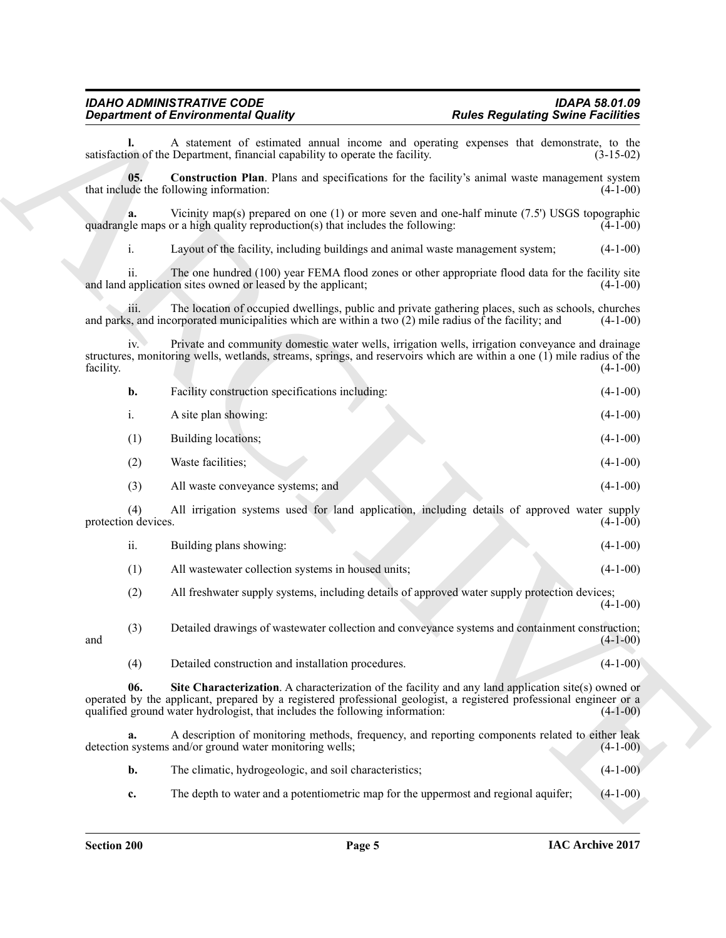<span id="page-4-1"></span><span id="page-4-0"></span>

|                            | <b>Department of Environmental Quality</b>                                                                                                                                                                                                                                                                 | <b>Rules Regulating Swine Facilities</b> |
|----------------------------|------------------------------------------------------------------------------------------------------------------------------------------------------------------------------------------------------------------------------------------------------------------------------------------------------------|------------------------------------------|
|                            | A statement of estimated annual income and operating expenses that demonstrate, to the<br>satisfaction of the Department, financial capability to operate the facility.                                                                                                                                    | $(3-15-02)$                              |
| 0 <sub>5</sub>             | <b>Construction Plan.</b> Plans and specifications for the facility's animal waste management system<br>that include the following information:                                                                                                                                                            | $(4-1-00)$                               |
| a.                         | Vicinity map(s) prepared on one (1) or more seven and one-half minute $(7.5)$ USGS topographic<br>quadrangle maps or a high quality reproduction(s) that includes the following:                                                                                                                           | $(4-1-00)$                               |
| i.                         | Layout of the facility, including buildings and animal waste management system;                                                                                                                                                                                                                            | $(4-1-00)$                               |
| 11.                        | The one hundred (100) year FEMA flood zones or other appropriate flood data for the facility site<br>and land application sites owned or leased by the applicant;                                                                                                                                          | $(4-1-00)$                               |
| 111.                       | The location of occupied dwellings, public and private gathering places, such as schools, churches<br>and parks, and incorporated municipalities which are within a two $(2)$ mile radius of the facility; and                                                                                             | $(4-1-00)$                               |
| $iv$ .<br>facility.        | Private and community domestic water wells, irrigation wells, irrigation conveyance and drainage<br>structures, monitoring wells, wetlands, streams, springs, and reservoirs which are within a one (1) mile radius of the                                                                                 | $(4-1-00)$                               |
| b.                         | Facility construction specifications including:                                                                                                                                                                                                                                                            | $(4-1-00)$                               |
| i.                         | A site plan showing:                                                                                                                                                                                                                                                                                       | $(4-1-00)$                               |
| (1)                        | Building locations;                                                                                                                                                                                                                                                                                        | $(4-1-00)$                               |
| (2)                        | Waste facilities;                                                                                                                                                                                                                                                                                          | $(4-1-00)$                               |
| (3)                        | All waste conveyance systems; and                                                                                                                                                                                                                                                                          | $(4-1-00)$                               |
| (4)<br>protection devices. | All irrigation systems used for land application, including details of approved water supply                                                                                                                                                                                                               | $(4-1-00)$                               |
| ii.                        | Building plans showing:                                                                                                                                                                                                                                                                                    | $(4-1-00)$                               |
| (1)                        | All wastewater collection systems in housed units;                                                                                                                                                                                                                                                         | $(4-1-00)$                               |
| (2)                        | All freshwater supply systems, including details of approved water supply protection devices;                                                                                                                                                                                                              | $(4-1-00)$                               |
| (3)<br>and                 | Detailed drawings of wastewater collection and conveyance systems and containment construction;                                                                                                                                                                                                            | $(4-1-00)$                               |
| (4)                        | Detailed construction and installation procedures.                                                                                                                                                                                                                                                         | $(4-1-00)$                               |
| 06.                        | Site Characterization. A characterization of the facility and any land application site(s) owned or<br>operated by the applicant, prepared by a registered professional geologist, a registered professional engineer or a<br>qualified ground water hydrologist, that includes the following information: | $(4-1-00)$                               |
| a.                         | A description of monitoring methods, frequency, and reporting components related to either leak<br>detection systems and/or ground water monitoring wells;                                                                                                                                                 | $(4-1-00)$                               |
| b.                         | The climatic, hydrogeologic, and soil characteristics;                                                                                                                                                                                                                                                     | $(4-1-00)$                               |
|                            |                                                                                                                                                                                                                                                                                                            |                                          |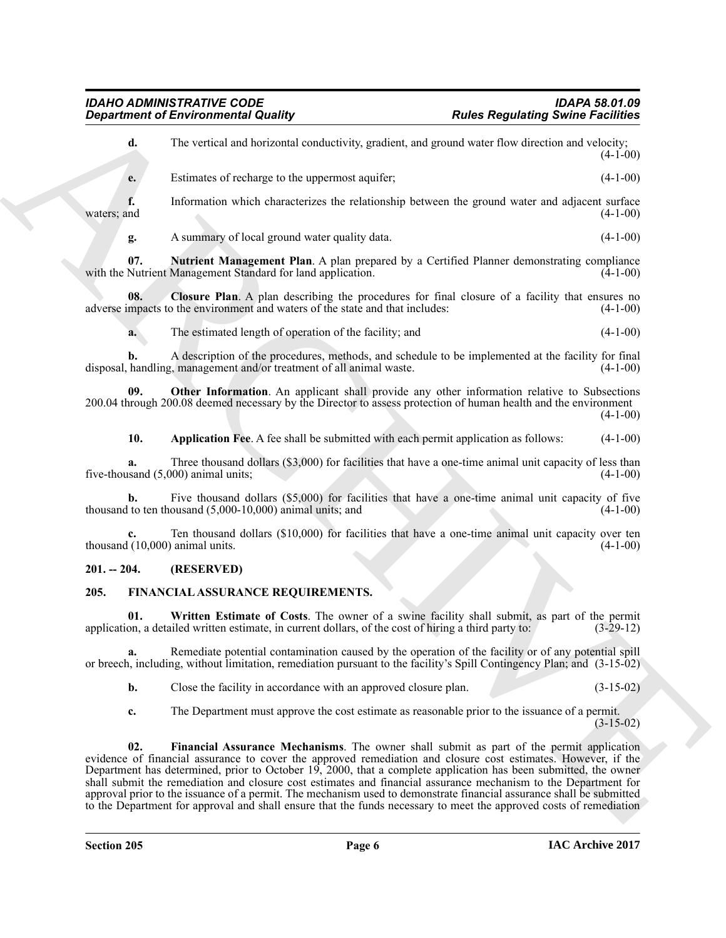<span id="page-5-8"></span><span id="page-5-7"></span><span id="page-5-6"></span><span id="page-5-5"></span><span id="page-5-4"></span><span id="page-5-3"></span><span id="page-5-2"></span><span id="page-5-1"></span><span id="page-5-0"></span>

|                                       | <b>Department of Environmental Quality</b>                                                                                                                                                                                                                                                                                                                                                                                                                                                                                                                                                                                                                                                    | <b>Rules Regulating Swine Facilities</b> |            |
|---------------------------------------|-----------------------------------------------------------------------------------------------------------------------------------------------------------------------------------------------------------------------------------------------------------------------------------------------------------------------------------------------------------------------------------------------------------------------------------------------------------------------------------------------------------------------------------------------------------------------------------------------------------------------------------------------------------------------------------------------|------------------------------------------|------------|
| d.                                    | The vertical and horizontal conductivity, gradient, and ground water flow direction and velocity;                                                                                                                                                                                                                                                                                                                                                                                                                                                                                                                                                                                             |                                          | $(4-1-00)$ |
| e.                                    | Estimates of recharge to the uppermost aquifer;                                                                                                                                                                                                                                                                                                                                                                                                                                                                                                                                                                                                                                               |                                          | $(4-1-00)$ |
| f.<br>waters; and                     | Information which characterizes the relationship between the ground water and adjacent surface                                                                                                                                                                                                                                                                                                                                                                                                                                                                                                                                                                                                |                                          | $(4-1-00)$ |
| g.                                    | A summary of local ground water quality data.                                                                                                                                                                                                                                                                                                                                                                                                                                                                                                                                                                                                                                                 |                                          | $(4-1-00)$ |
| 07.                                   | <b>Nutrient Management Plan</b> . A plan prepared by a Certified Planner demonstrating compliance<br>with the Nutrient Management Standard for land application.                                                                                                                                                                                                                                                                                                                                                                                                                                                                                                                              |                                          | $(4-1-00)$ |
| 08.                                   | Closure Plan. A plan describing the procedures for final closure of a facility that ensures no<br>adverse impacts to the environment and waters of the state and that includes:                                                                                                                                                                                                                                                                                                                                                                                                                                                                                                               |                                          | $(4-1-00)$ |
| a.                                    | The estimated length of operation of the facility; and                                                                                                                                                                                                                                                                                                                                                                                                                                                                                                                                                                                                                                        |                                          | $(4-1-00)$ |
| b.                                    | A description of the procedures, methods, and schedule to be implemented at the facility for final<br>disposal, handling, management and/or treatment of all animal waste.                                                                                                                                                                                                                                                                                                                                                                                                                                                                                                                    |                                          | $(4-1-00)$ |
| 09.                                   | Other Information. An applicant shall provide any other information relative to Subsections<br>200.04 through 200.08 deemed necessary by the Director to assess protection of human health and the environment                                                                                                                                                                                                                                                                                                                                                                                                                                                                                |                                          | $(4-1-00)$ |
| 10.                                   | Application Fee. A fee shall be submitted with each permit application as follows:                                                                                                                                                                                                                                                                                                                                                                                                                                                                                                                                                                                                            |                                          | $(4-1-00)$ |
| a.                                    | Three thousand dollars (\$3,000) for facilities that have a one-time animal unit capacity of less than<br>five-thousand $(5,000)$ animal units;                                                                                                                                                                                                                                                                                                                                                                                                                                                                                                                                               |                                          | $(4-1-00)$ |
| b.                                    | Five thousand dollars (\$5,000) for facilities that have a one-time animal unit capacity of five<br>thousand to ten thousand $(5,000-10,000)$ animal units; and                                                                                                                                                                                                                                                                                                                                                                                                                                                                                                                               |                                          | $(4-1-00)$ |
| c.<br>thousand (10,000) animal units. | Ten thousand dollars (\$10,000) for facilities that have a one-time animal unit capacity over ten                                                                                                                                                                                                                                                                                                                                                                                                                                                                                                                                                                                             |                                          | $(4-1-00)$ |
| $201. - 204.$                         | (RESERVED)                                                                                                                                                                                                                                                                                                                                                                                                                                                                                                                                                                                                                                                                                    |                                          |            |
| 205.                                  | FINANCIAL ASSURANCE REQUIREMENTS.                                                                                                                                                                                                                                                                                                                                                                                                                                                                                                                                                                                                                                                             |                                          |            |
| 01.                                   | Written Estimate of Costs. The owner of a swine facility shall submit, as part of the permit<br>application, a detailed written estimate, in current dollars, of the cost of hiring a third party to:                                                                                                                                                                                                                                                                                                                                                                                                                                                                                         | $(3-29-12)$                              |            |
| a.                                    | Remediate potential contamination caused by the operation of the facility or of any potential spill<br>or breech, including, without limitation, remediation pursuant to the facility's Spill Contingency Plan; and (3-15-02)                                                                                                                                                                                                                                                                                                                                                                                                                                                                 |                                          |            |
| b.                                    | Close the facility in accordance with an approved closure plan.                                                                                                                                                                                                                                                                                                                                                                                                                                                                                                                                                                                                                               | $(3-15-02)$                              |            |
| c.                                    | The Department must approve the cost estimate as reasonable prior to the issuance of a permit.                                                                                                                                                                                                                                                                                                                                                                                                                                                                                                                                                                                                | $(3-15-02)$                              |            |
| 02.                                   | Financial Assurance Mechanisms. The owner shall submit as part of the permit application<br>evidence of financial assurance to cover the approved remediation and closure cost estimates. However, if the<br>Department has determined, prior to October 19, 2000, that a complete application has been submitted, the owner<br>shall submit the remediation and closure cost estimates and financial assurance mechanism to the Department for<br>approval prior to the issuance of a permit. The mechanism used to demonstrate financial assurance shall be submitted<br>to the Department for approval and shall ensure that the funds necessary to meet the approved costs of remediation |                                          |            |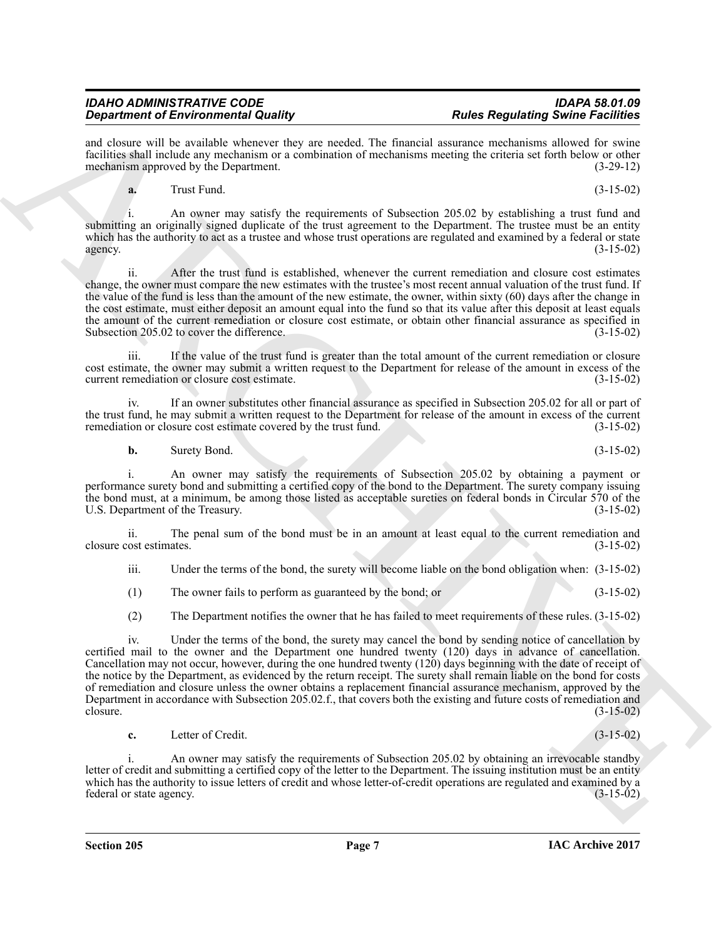and closure will be available whenever they are needed. The financial assurance mechanisms allowed for swine facilities shall include any mechanism or a combination of mechanisms meeting the criteria set forth below or other mechanism approved by the Department. (3-29-12) mechanism approved by the Department.

**a.** Trust Fund. (3-15-02)

i. An owner may satisfy the requirements of Subsection 205.02 by establishing a trust fund and submitting an originally signed duplicate of the trust agreement to the Department. The trustee must be an entity which has the authority to act as a trustee and whose trust operations are regulated and examined by a federal or state  $a$ gency.  $(3-15-02)$ 

ii. After the trust fund is established, whenever the current remediation and closure cost estimates change, the owner must compare the new estimates with the trustee's most recent annual valuation of the trust fund. If the value of the fund is less than the amount of the new estimate, the owner, within sixty (60) days after the change in the cost estimate, must either deposit an amount equal into the fund so that its value after this deposit at least equals the amount of the current remediation or closure cost estimate, or obtain other financial assurance as specified in Subsection 205.02 to cover the difference. Subsection 205.02 to cover the difference.

iii. If the value of the trust fund is greater than the total amount of the current remediation or closure cost estimate, the owner may submit a written request to the Department for release of the amount in excess of the current remediation or closure cost estimate. (3-15-02) current remediation or closure cost estimate.

iv. If an owner substitutes other financial assurance as specified in Subsection 205.02 for all or part of the trust fund, he may submit a written request to the Department for release of the amount in excess of the current remediation or closure cost estimate covered by the trust fund. (3-15-02)

**b.** Surety Bond. (3-15-02)

i. An owner may satisfy the requirements of Subsection 205.02 by obtaining a payment or performance surety bond and submitting a certified copy of the bond to the Department. The surety company issuing the bond must, at a minimum, be among those listed as acceptable sureties on federal bonds in Circular 570 of the U.S. Department of the Treasury. (3-15-02) U.S. Department of the Treasury.

ii. The penal sum of the bond must be in an amount at least equal to the current remediation and ost estimates. (3-15-02) closure cost estimates.

iii. Under the terms of the bond, the surety will become liable on the bond obligation when: (3-15-02)

(1) The owner fails to perform as guaranteed by the bond; or (3-15-02)

(2) The Department notifies the owner that he has failed to meet requirements of these rules. (3-15-02)

**Experimental divergent interest in the sympatometric of the sympatometric interest in the sympatometric interest in the sympatometric interest in the sympatometric interest in the sympatometric interest in the sympatomet** iv. Under the terms of the bond, the surety may cancel the bond by sending notice of cancellation by certified mail to the owner and the Department one hundred twenty (120) days in advance of cancellation. Cancellation may not occur, however, during the one hundred twenty (120) days beginning with the date of receipt of the notice by the Department, as evidenced by the return receipt. The surety shall remain liable on the bond for costs of remediation and closure unless the owner obtains a replacement financial assurance mechanism, approved by the Department in accordance with Subsection 205.02.f., that covers both the existing and future costs of remediation and  $\text{closure.} \tag{3-15-02}$ 

**c.** Letter of Credit. (3-15-02)

i. An owner may satisfy the requirements of Subsection 205.02 by obtaining an irrevocable standby letter of credit and submitting a certified copy of the letter to the Department. The issuing institution must be an entity which has the authority to issue letters of credit and whose letter-of-credit operations are regulated and examined by a federal or state agency. federal or state agency.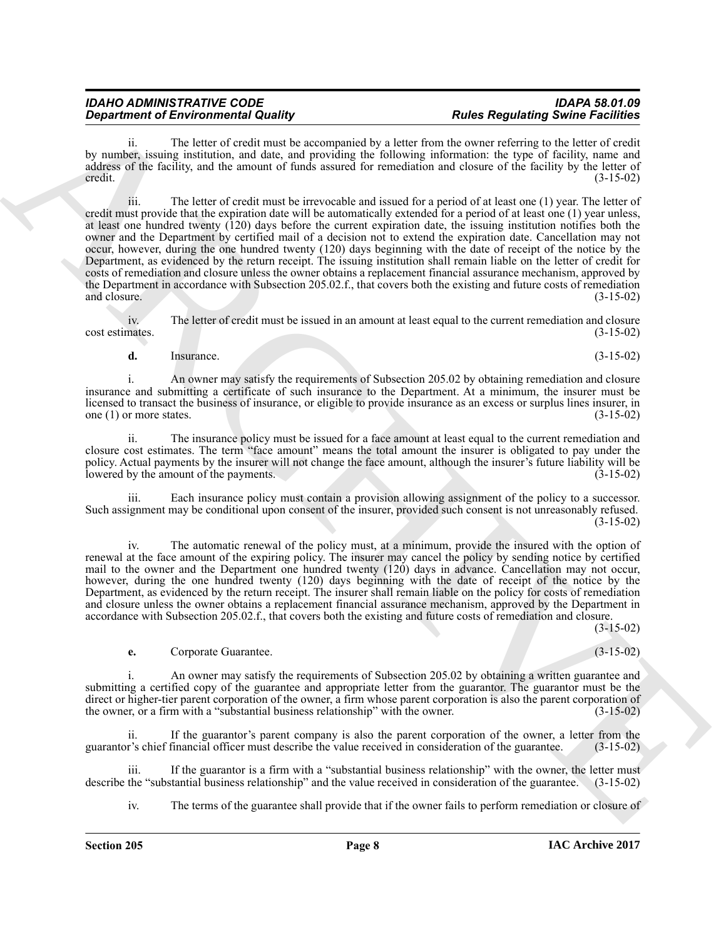The letter of credit must be accompanied by a letter from the owner referring to the letter of credit by number, issuing institution, and date, and providing the following information: the type of facility, name and address of the facility, and the amount of funds assured for remediation and closure of the facility by the letter of  $\text{credit.}$  (3-15-02)

**Department of Environmental Resolution** (and the system pairs and the system of the system of the system of the system of the system of the system of the system of the system of the system of the system of the system of iii. The letter of credit must be irrevocable and issued for a period of at least one (1) year. The letter of credit must provide that the expiration date will be automatically extended for a period of at least one (1) year unless, at least one hundred twenty (120) days before the current expiration date, the issuing institution notifies both the owner and the Department by certified mail of a decision not to extend the expiration date. Cancellation may not occur, however, during the one hundred twenty (120) days beginning with the date of receipt of the notice by the Department, as evidenced by the return receipt. The issuing institution shall remain liable on the letter of credit for costs of remediation and closure unless the owner obtains a replacement financial assurance mechanism, approved by the Department in accordance with Subsection 205.02.f., that covers both the existing and future costs of remediation and closure. (3-15-02) and closure. (3-15-02)

iv. The letter of credit must be issued in an amount at least equal to the current remediation and closure nates. (3-15-02) cost estimates.

**d.** Insurance. (3-15-02)

i. An owner may satisfy the requirements of Subsection 205.02 by obtaining remediation and closure insurance and submitting a certificate of such insurance to the Department. At a minimum, the insurer must be licensed to transact the business of insurance, or eligible to provide insurance as an excess or surplus lines insurer, in one (1) or more states.  $(3-15-02)$ 

ii. The insurance policy must be issued for a face amount at least equal to the current remediation and closure cost estimates. The term "face amount" means the total amount the insurer is obligated to pay under the policy. Actual payments by the insurer will not change the face amount, although the insurer's future liability will be lowered by the amount of the payments. lowered by the amount of the payments.

iii. Each insurance policy must contain a provision allowing assignment of the policy to a successor. Such assignment may be conditional upon consent of the insurer, provided such consent is not unreasonably refused. (3-15-02)

iv. The automatic renewal of the policy must, at a minimum, provide the insured with the option of renewal at the face amount of the expiring policy. The insurer may cancel the policy by sending notice by certified mail to the owner and the Department one hundred twenty (120) days in advance. Cancellation may not occur, however, during the one hundred twenty (120) days beginning with the date of receipt of the notice by the Department, as evidenced by the return receipt. The insurer shall remain liable on the policy for costs of remediation and closure unless the owner obtains a replacement financial assurance mechanism, approved by the Department in accordance with Subsection 205.02.f., that covers both the existing and future costs of remediation and closure.

(3-15-02)

# **e.** Corporate Guarantee. (3-15-02)

i. An owner may satisfy the requirements of Subsection 205.02 by obtaining a written guarantee and submitting a certified copy of the guarantee and appropriate letter from the guarantor. The guarantor must be the direct or higher-tier parent corporation of the owner, a firm whose parent corporation is also the parent corporation of the owner, or a firm with a "substantial business relationship" with the owner. (3-15-02) the owner, or a firm with a "substantial business relationship" with the owner.

ii. If the guarantor's parent company is also the parent corporation of the owner, a letter from the guarantor's chief financial officer must describe the value received in consideration of the guarantee. (3-15-02)

iii. If the guarantor is a firm with a "substantial business relationship" with the owner, the letter must<br>the "substantial business relationship" and the value received in consideration of the guarantee. (3-15-02) describe the "substantial business relationship" and the value received in consideration of the guarantee.

iv. The terms of the guarantee shall provide that if the owner fails to perform remediation or closure of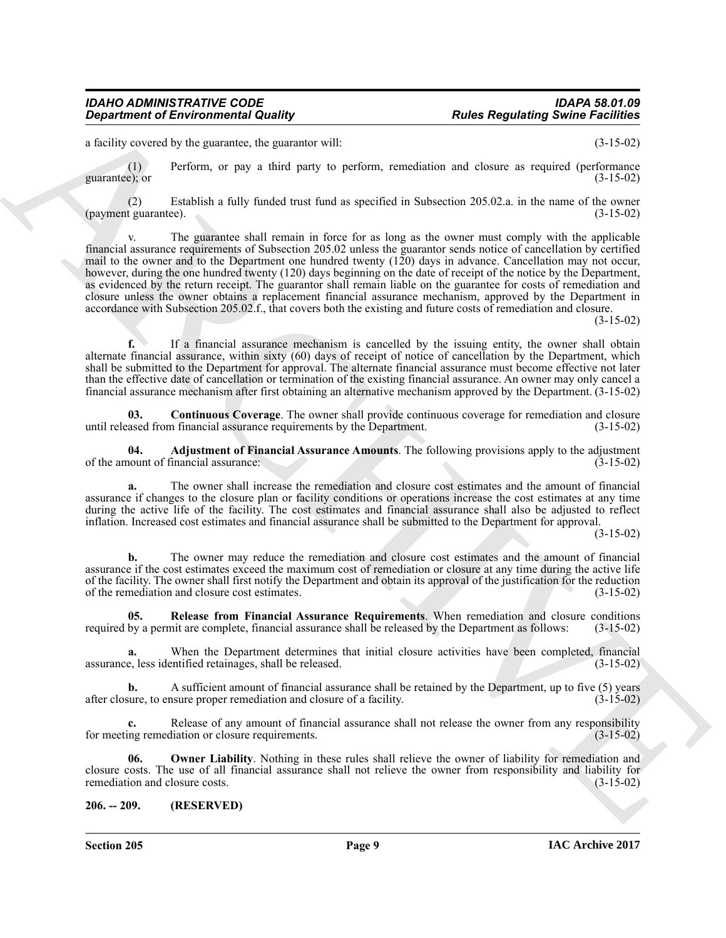a facility covered by the guarantee, the guarantor will: (3-15-02)

(1) Perform, or pay a third party to perform, remediation and closure as required (performance guarantee); or  $(3-15-02)$ 

(2) Establish a fully funded trust fund as specified in Subsection 205.02.a. in the name of the owner (payment guarantee).

**Equivariant of Environmental Quality ... Parks Regulating Swine Fieldings**<br>
Linch proceed by the generation of the generation of the specific of the specific of the specific procedure of the specific of the specific of The guarantee shall remain in force for as long as the owner must comply with the applicable financial assurance requirements of Subsection 205.02 unless the guarantor sends notice of cancellation by certified mail to the owner and to the Department one hundred twenty (120) days in advance. Cancellation may not occur, however, during the one hundred twenty (120) days beginning on the date of receipt of the notice by the Department, as evidenced by the return receipt. The guarantor shall remain liable on the guarantee for costs of remediation and closure unless the owner obtains a replacement financial assurance mechanism, approved by the Department in accordance with Subsection 205.02.f., that covers both the existing and future costs of remediation and closure.

(3-15-02)

**f.** If a financial assurance mechanism is cancelled by the issuing entity, the owner shall obtain alternate financial assurance, within sixty (60) days of receipt of notice of cancellation by the Department, which shall be submitted to the Department for approval. The alternate financial assurance must become effective not later than the effective date of cancellation or termination of the existing financial assurance. An owner may only cancel a financial assurance mechanism after first obtaining an alternative mechanism approved by the Department. (3-15-02)

<span id="page-8-2"></span>**03. Continuous Coverage**. The owner shall provide continuous coverage for remediation and closure until released from financial assurance requirements by the Department. (3-15-02)

<span id="page-8-1"></span>**04. Adjustment of Financial Assurance Amounts**. The following provisions apply to the adjustment of the amount of financial assurance:

**a.** The owner shall increase the remediation and closure cost estimates and the amount of financial assurance if changes to the closure plan or facility conditions or operations increase the cost estimates at any time during the active life of the facility. The cost estimates and financial assurance shall also be adjusted to reflect inflation. Increased cost estimates and financial assurance shall be submitted to the Department for approval.

(3-15-02)

**b.** The owner may reduce the remediation and closure cost estimates and the amount of financial assurance if the cost estimates exceed the maximum cost of remediation or closure at any time during the active life of the facility. The owner shall first notify the Department and obtain its approval of the justification for the reduction of the remediation and closure cost estimates. (3-15-02)

<span id="page-8-4"></span>**05. Release from Financial Assurance Requirements**. When remediation and closure conditions required by a permit are complete, financial assurance shall be released by the Department as follows: (3-15-02)

**a.** When the Department determines that initial closure activities have been completed, financial e, less identified retainages, shall be released.  $(3-15-02)$ assurance, less identified retainages, shall be released.

**b.** A sufficient amount of financial assurance shall be retained by the Department, up to five (5) years after closure, to ensure proper remediation and closure of a facility. (3-15-02)

**c.** Release of any amount of financial assurance shall not release the owner from any responsibility ing remediation or closure requirements.  $(3-15-02)$ for meeting remediation or closure requirements.

<span id="page-8-3"></span>**06. Owner Liability**. Nothing in these rules shall relieve the owner of liability for remediation and closure costs. The use of all financial assurance shall not relieve the owner from responsibility and liability for remediation and closure costs.

#### <span id="page-8-0"></span>**206. -- 209. (RESERVED)**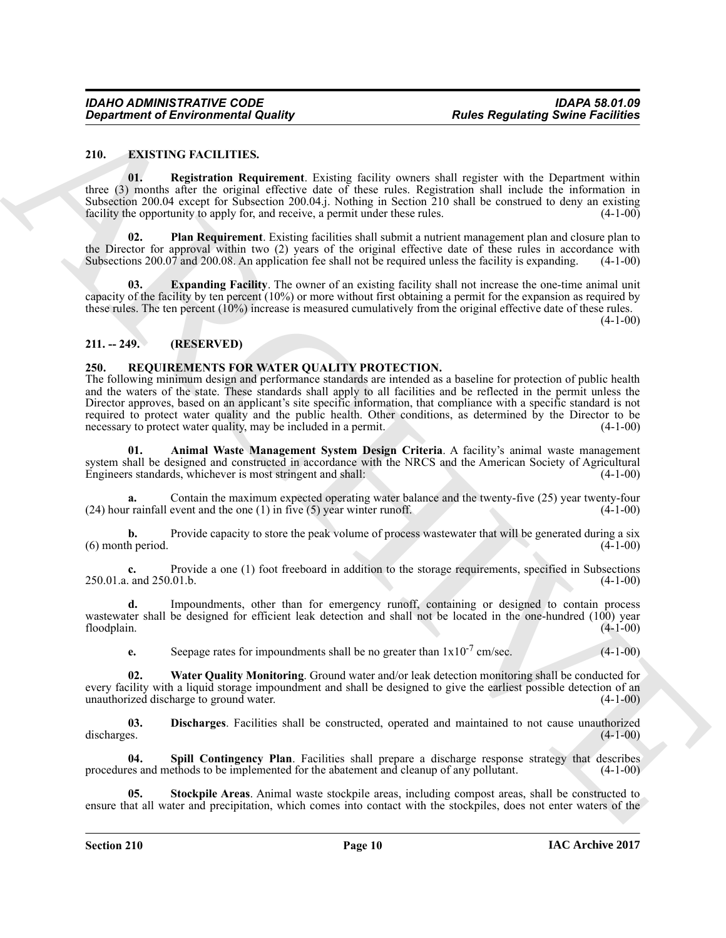#### <span id="page-9-3"></span><span id="page-9-0"></span>**210. EXISTING FACILITIES.**

<span id="page-9-6"></span>**01. Registration Requirement**. Existing facility owners shall register with the Department within three (3) months after the original effective date of these rules. Registration shall include the information in Subsection 200.04 except for Subsection 200.04.j. Nothing in Section 210 shall be construed to deny an existing facility the opportunity to apply for, and receive, a permit under these rules. (4-1-00) facility the opportunity to apply for, and receive, a permit under these rules.

<span id="page-9-5"></span>**Plan Requirement**. Existing facilities shall submit a nutrient management plan and closure plan to the Director for approval within two (2) years of the original effective date of these rules in accordance with Subsections 200.07 and 200.08. An application fee shall not be required unless the facility is expanding.  $(4$ Subsections 200.07 and 200.08. An application fee shall not be required unless the facility is expanding.

<span id="page-9-4"></span>**03. Expanding Facility**. The owner of an existing facility shall not increase the one-time animal unit capacity of the facility by ten percent (10%) or more without first obtaining a permit for the expansion as required by these rules. The ten percent (10%) increase is measured cumulatively from the original effective date of these rules.

 $(4-1-00)$ 

# <span id="page-9-1"></span>**211. -- 249. (RESERVED)**

# <span id="page-9-7"></span><span id="page-9-2"></span>**250. REQUIREMENTS FOR WATER QUALITY PROTECTION.**

Generation of Environmental Quality<br>
210. Experimental Quality<br>
210. Experimental Requisions Liesting Berlin, women shall regulate with the Dependent soliding<br>
210. Repletmina Requisions Liesting Berlin, women shall regul The following minimum design and performance standards are intended as a baseline for protection of public health and the waters of the state. These standards shall apply to all facilities and be reflected in the permit unless the Director approves, based on an applicant's site specific information, that compliance with a specific standard is not required to protect water quality and the public health. Other conditions, as determined by the Director to be necessary to protect water quality, may be included in a permit. (4-1-00)

<span id="page-9-8"></span>**01. Animal Waste Management System Design Criteria**. A facility's animal waste management system shall be designed and constructed in accordance with the NRCS and the American Society of Agricultural Engineers standards, whichever is most stringent and shall: (4-1-00) Engineers standards, whichever is most stringent and shall:

Contain the maximum expected operating water balance and the twenty-five (25) year twenty-four event and the one (1) in five (5) year winter runoff. (4-1-00)  $(24)$  hour rainfall event and the one  $(1)$  in five  $(5)$  year winter runoff.

**b.** Provide capacity to store the peak volume of process wastewater that will be generated during a six h period.  $(4-1-00)$  $(6)$  month period.

**c.** Provide a one (1) foot freeboard in addition to the storage requirements, specified in Subsections and 250.01.b. (4-1-00) 250.01.a. and 250.01.b.

**d.** Impoundments, other than for emergency runoff, containing or designed to contain process wastewater shall be designed for efficient leak detection and shall not be located in the one-hundred (100) year floodplain. (4-1-00) floodplain. (4-1-00)

<span id="page-9-12"></span><span id="page-9-9"></span>**e.** Seepage rates for impoundments shall be no greater than  $1 \times 10^{-7}$  cm/sec. (4-1-00)

**02. Water Quality Monitoring**. Ground water and/or leak detection monitoring shall be conducted for every facility with a liquid storage impoundment and shall be designed to give the earliest possible detection of an unauthorized discharge to ground water. (4-1-00)

**03.** Discharges. Facilities shall be constructed, operated and maintained to not cause unauthorized discharges. (4-1-00) discharges. (4-1-00)

<span id="page-9-10"></span>**04.** Spill Contingency Plan. Facilities shall prepare a discharge response strategy that describes es and methods to be implemented for the abatement and cleanup of any pollutant. (4-1-00) procedures and methods to be implemented for the abatement and cleanup of any pollutant.

<span id="page-9-11"></span>**05. Stockpile Areas**. Animal waste stockpile areas, including compost areas, shall be constructed to ensure that all water and precipitation, which comes into contact with the stockpiles, does not enter waters of the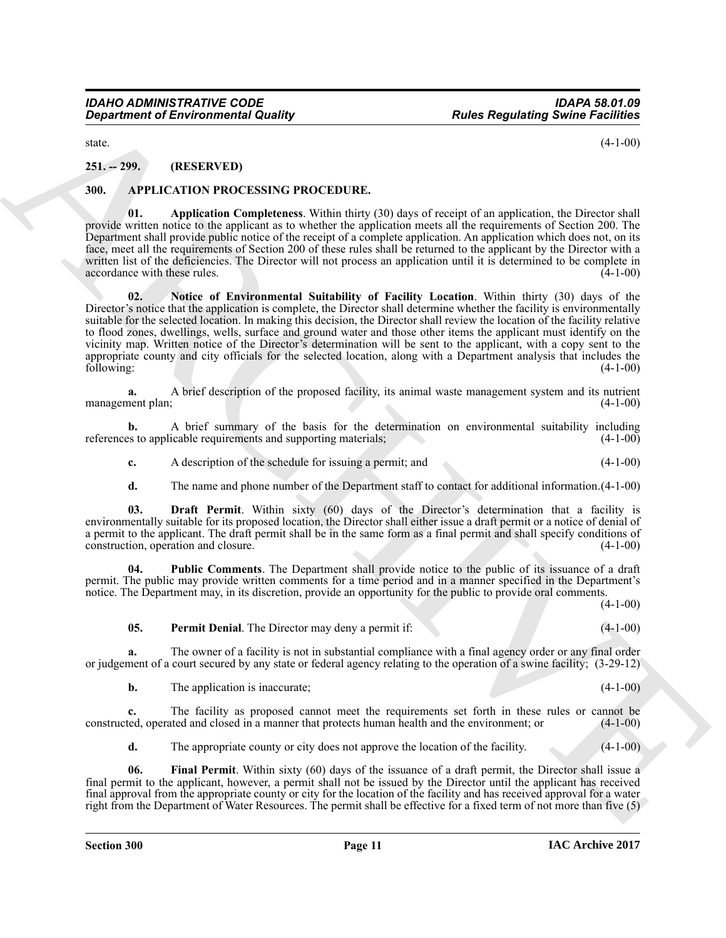# <span id="page-10-0"></span>**251. -- 299. (RESERVED)**

#### <span id="page-10-2"></span><span id="page-10-1"></span>**300. APPLICATION PROCESSING PROCEDURE.**

<span id="page-10-6"></span><span id="page-10-3"></span>**01. Application Completeness**. Within thirty (30) days of receipt of an application, the Director shall provide written notice to the applicant as to whether the application meets all the requirements of Section 200. The Department shall provide public notice of the receipt of a complete application. An application which does not, on its face, meet all the requirements of Section 200 of these rules shall be returned to the applicant by the Director with a written list of the deficiencies. The Director will not process an application until it is determined to be complete in accordance with these rules. (4-1-00) accordance with these rules.

Great from the RNS RV-VTD)<br>
29. 299. (RFS RV-VTD)<br>
29. 299. (RFS RV-VTD)<br>
29. 299. (RFS RV-VTD)<br>
29. 299. (RFS RV-VTD)<br>
29. 299. (RFS RV-VTD)<br>
29. 299. (RFS RV-VTD)<br>
29. (APERCORD CORD PROCED DURE.<br>
29. (APERCORD CORD PRO **02. Notice of Environmental Suitability of Facility Location**. Within thirty (30) days of the Director's notice that the application is complete, the Director shall determine whether the facility is environmentally suitable for the selected location. In making this decision, the Director shall review the location of the facility relative to flood zones, dwellings, wells, surface and ground water and those other items the applicant must identify on the vicinity map. Written notice of the Director's determination will be sent to the applicant, with a copy sent to the appropriate county and city officials for the selected location, along with a Department analysis that includes the following: (4-1-00) following: (4-1-00)

**a.** A brief description of the proposed facility, its animal waste management system and its nutrient plan; (4-1-00) management plan;

**b.** A brief summary of the basis for the determination on environmental suitability including es to applicable requirements and supporting materials: (4-1-00) references to applicable requirements and supporting materials;

- **c.** A description of the schedule for issuing a permit; and (4-1-00)
- <span id="page-10-4"></span>**d.** The name and phone number of the Department staff to contact for additional information.(4-1-00)

**03. Draft Permit**. Within sixty (60) days of the Director's determination that a facility is environmentally suitable for its proposed location, the Director shall either issue a draft permit or a notice of denial of a permit to the applicant. The draft permit shall be in the same form as a final permit and shall specify conditions of construction, operation and closure. construction, operation and closure.

**04. Public Comments**. The Department shall provide notice to the public of its issuance of a draft permit. The public may provide written comments for a time period and in a manner specified in the Department's notice. The Department may, in its discretion, provide an opportunity for the public to provide oral comments.

 $(4-1-00)$ 

<span id="page-10-8"></span><span id="page-10-7"></span>**05. Permit Denial**. The Director may deny a permit if: (4-1-00)

**a.** The owner of a facility is not in substantial compliance with a final agency order or any final order or judgement of a court secured by any state or federal agency relating to the operation of a swine facility; (3-29-12)

|  | The application is inaccurate; |  | $(4-1-00)$ |
|--|--------------------------------|--|------------|
|--|--------------------------------|--|------------|

**c.** The facility as proposed cannot meet the requirements set forth in these rules or cannot be ted, operated and closed in a manner that protects human health and the environment; or (4-1-00) constructed, operated and closed in a manner that protects human health and the environment; or

<span id="page-10-5"></span>**d.** The appropriate county or city does not approve the location of the facility. (4-1-00)

**06. Final Permit**. Within sixty (60) days of the issuance of a draft permit, the Director shall issue a final permit to the applicant, however, a permit shall not be issued by the Director until the applicant has received final approval from the appropriate county or city for the location of the facility and has received approval for a water right from the Department of Water Resources. The permit shall be effective for a fixed term of not more than five (5)

state.  $(4-1-00)$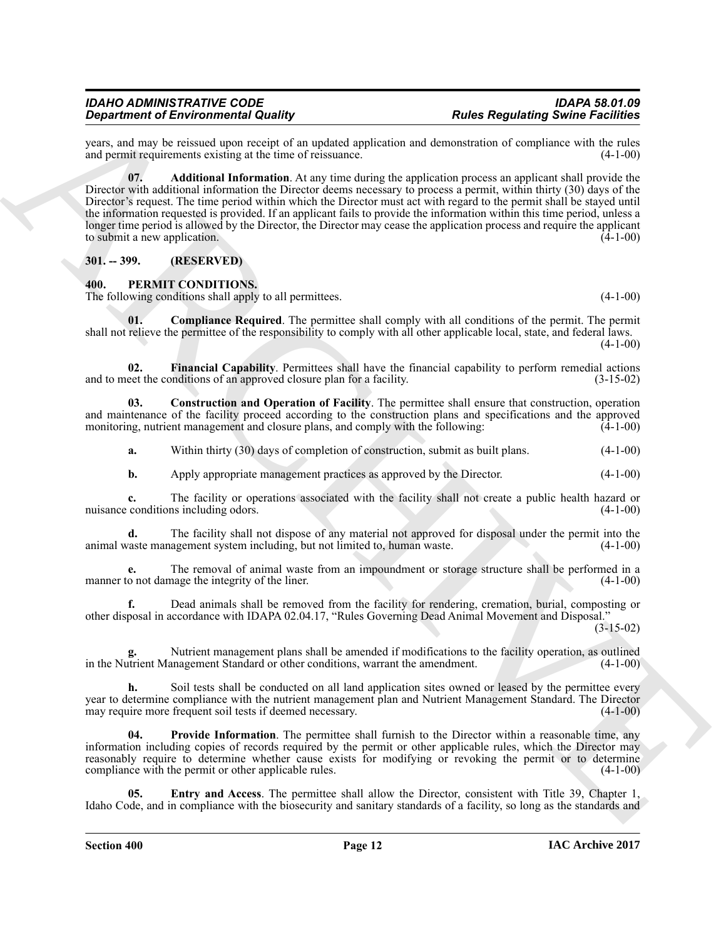<span id="page-11-2"></span>years, and may be reissued upon receipt of an updated application and demonstration of compliance with the rules and permit requirements existing at the time of reissuance. (4-1-00) and permit requirements existing at the time of reissuance.

Grad from the form of the same of the same of the same of the same of the same of the same of the same of the same of the same of the same of the same of the same of the same of the same of the same of the same of the sam **07. Additional Information**. At any time during the application process an applicant shall provide the Director with additional information the Director deems necessary to process a permit, within thirty (30) days of the Director's request. The time period within which the Director must act with regard to the permit shall be stayed until the information requested is provided. If an applicant fails to provide the information within this time period, unless a longer time period is allowed by the Director, the Director may cease the application process and require the applicant to submit a new application.  $(4-1-00)$ 

# <span id="page-11-0"></span>**301. -- 399. (RESERVED)**

# <span id="page-11-3"></span><span id="page-11-1"></span>**400. PERMIT CONDITIONS.**

The following conditions shall apply to all permittees. (4-1-00)

<span id="page-11-4"></span>**01.** Compliance Required. The permittee shall comply with all conditions of the permit. The permit shall not relieve the permittee of the responsibility to comply with all other applicable local, state, and federal laws.  $(4-1-00)$ 

<span id="page-11-7"></span>**02. Financial Capability**. Permittees shall have the financial capability to perform remedial actions eet the conditions of an approved closure plan for a facility. (3-15-02) and to meet the conditions of an approved closure plan for a facility.

**03. Construction and Operation of Facility**. The permittee shall ensure that construction, operation and maintenance of the facility proceed according to the construction plans and specifications and the approved monitoring, nutrient management and closure plans, and comply with the following:  $(4-1-00)$ 

<span id="page-11-5"></span>**a.** Within thirty (30) days of completion of construction, submit as built plans. (4-1-00)

**b.** Apply appropriate management practices as approved by the Director. (4-1-00)

**c.** The facility or operations associated with the facility shall not create a public health hazard or conditions including odors. (4-1-00) nuisance conditions including odors.

**d.** The facility shall not dispose of any material not approved for disposal under the permit into the raste management system including, but not limited to, human waste.  $(4-1-00)$ animal waste management system including, but not limited to, human waste.

**e.** The removal of animal waste from an impoundment or storage structure shall be performed in a o not damage the integrity of the liner. (4-1-00) manner to not damage the integrity of the liner.

**f.** Dead animals shall be removed from the facility for rendering, cremation, burial, composting or other disposal in accordance with IDAPA 02.04.17, "Rules Governing Dead Animal Movement and Disposal."

(3-15-02)

Nutrient management plans shall be amended if modifications to the facility operation, as outlined anagement Standard or other conditions, warrant the amendment. (4-1-00) in the Nutrient Management Standard or other conditions, warrant the amendment.

**h.** Soil tests shall be conducted on all land application sites owned or leased by the permittee every year to determine compliance with the nutrient management plan and Nutrient Management Standard. The Director may require more frequent soil tests if deemed necessary. (4-1-00)

<span id="page-11-8"></span>**04.** Provide Information. The permittee shall furnish to the Director within a reasonable time, any information including copies of records required by the permit or other applicable rules, which the Director may reasonably require to determine whether cause exists for modifying or revoking the permit or to determine compliance with the permit or other applicable rules. (4-1-00)

<span id="page-11-6"></span>**05. Entry and Access**. The permittee shall allow the Director, consistent with Title 39, Chapter 1, Idaho Code, and in compliance with the biosecurity and sanitary standards of a facility, so long as the standards and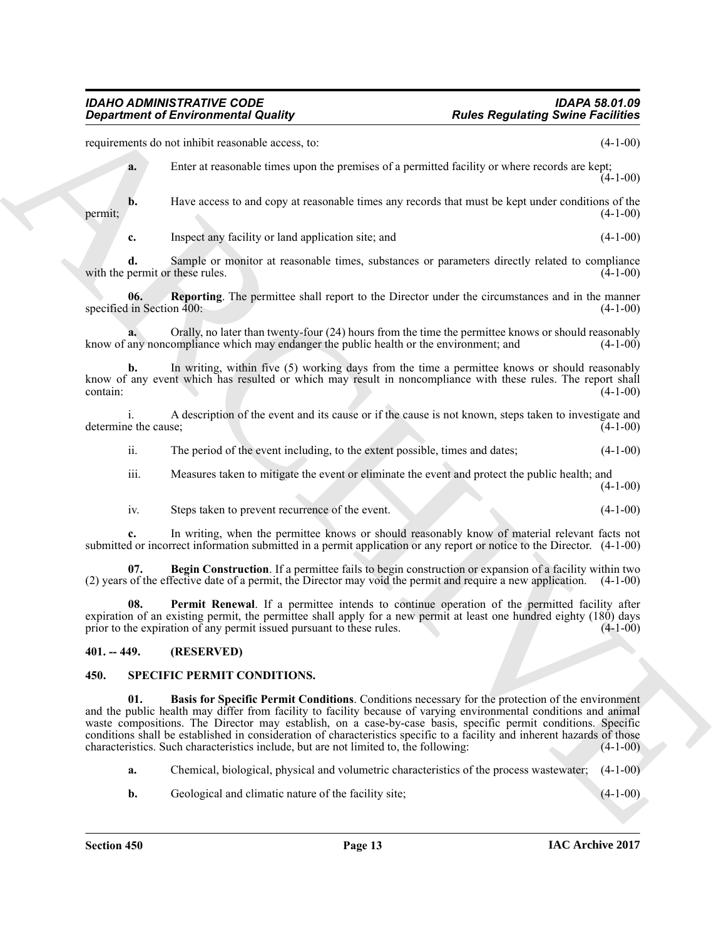requirements do not inhibit reasonable access, to: (4-1-00)

**a.** Enter at reasonable times upon the premises of a permitted facility or where records are kept;  $(4-1-00)$ 

**b.** Have access to and copy at reasonable times any records that must be kept under conditions of the  $(4-1-00)$ permit;  $(4-1-00)$ 

<span id="page-12-4"></span>**c.** Inspect any facility or land application site; and (4-1-00)

**d.** Sample or monitor at reasonable times, substances or parameters directly related to compliance permit or these rules. (4-1-00) with the permit or these rules.

**06. Reporting**. The permittee shall report to the Director under the circumstances and in the manner specified in Section 400: (4-1-00) (4-1-00)

**a.** Orally, no later than twenty-four (24) hours from the time the permittee knows or should reasonably any noncompliance which may endanger the public health or the environment; and (4-1-00) know of any noncompliance which may endanger the public health or the environment; and

**b.** In writing, within five (5) working days from the time a permittee knows or should reasonably know of any event which has resulted or which may result in noncompliance with these rules. The report shall  $\text{contain:} \tag{4-1-00}$ 

i. A description of the event and its cause or if the cause is not known, steps taken to investigate and determine the cause; (4-1-00)

ii. The period of the event including, to the extent possible, times and dates; (4-1-00)

iii. Measures taken to mitigate the event or eliminate the event and protect the public health; and

- $(4-1-00)$
- <span id="page-12-2"></span>iv. Steps taken to prevent recurrence of the event. (4-1-00)

**c.** In writing, when the permittee knows or should reasonably know of material relevant facts not submitted or incorrect information submitted in a permit application or any report or notice to the Director. (4-1-00)

**07. Begin Construction**. If a permittee fails to begin construction or expansion of a facility within two (2) years of the effective date of a permit, the Director may void the permit and require a new application. (4-1-00)

<span id="page-12-3"></span>**08. Permit Renewal**. If a permittee intends to continue operation of the permitted facility after expiration of an existing permit, the permittee shall apply for a new permit at least one hundred eighty (180) days prior to the expiration of any permit issued pursuant to these rules. (4-1-00) prior to the expiration of any permit issued pursuant to these rules.

# <span id="page-12-0"></span>**401. -- 449. (RESERVED)**

#### <span id="page-12-6"></span><span id="page-12-5"></span><span id="page-12-1"></span>**450. SPECIFIC PERMIT CONDITIONS.**

**Equidentif of Environmental Quality ... Partis Regulating Swine Sections**<br>
Equidation is the structure term that the structure of a permitted fuelly or when weather in the  $\frac{1}{4}$ ,  $\frac{1}{4}$ ,  $\frac{1}{4}$ ,  $\frac{1}{4}$ ,  $\$ **01. Basis for Specific Permit Conditions**. Conditions necessary for the protection of the environment and the public health may differ from facility to facility because of varying environmental conditions and animal waste compositions. The Director may establish, on a case-by-case basis, specific permit conditions. Specific conditions shall be established in consideration of characteristics specific to a facility and inherent hazards of those characteristics. Such characteristics include, but are not limited to, the following: (4-1-00)

**a.** Chemical, biological, physical and volumetric characteristics of the process wastewater; (4-1-00)

**b.** Geological and climatic nature of the facility site; (4-1-00)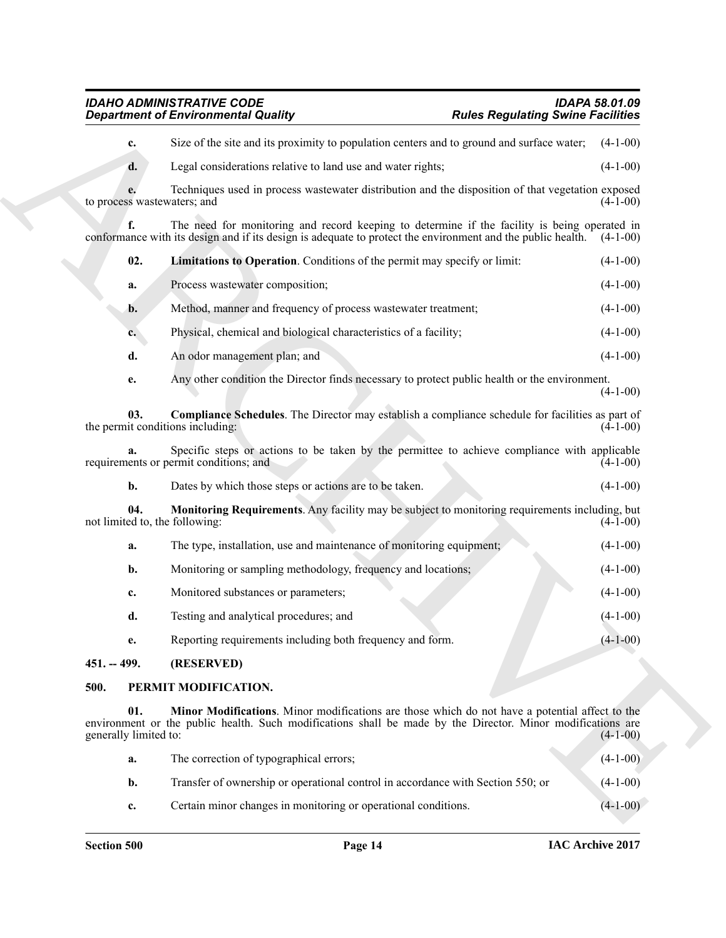<span id="page-13-5"></span>**Expansion of Environmental Quality (and the population casts and by points are contained by the experimental of the section of the section of the section of the section of the section of the section of the section of the c.** Size of the site and its proximity to population centers and to ground and surface water; (4-1-00) **d.** Legal considerations relative to land use and water rights; (4-1-00) **e.** Techniques used in process wastewater distribution and the disposition of that vegetation exposed is wastewaters; and (4-1-00) to process wastewaters; and The need for monitoring and record keeping to determine if the facility is being operated in its design and if its design is adequate to protect the environment and the public health.  $(4-1-00)$ conformance with its design and if its design is adequate to protect the environment and the public health. **02. Limitations to Operation**. Conditions of the permit may specify or limit: (4-1-00) **a.** Process wastewater composition; (4-1-00) **b.** Method, manner and frequency of process wastewater treatment; (4-1-00) **c.** Physical, chemical and biological characteristics of a facility; (4-1-00) **d.** An odor management plan; and (4-1-00) **e.** Any other condition the Director finds necessary to protect public health or the environment.  $(4-1-00)$ **03. Compliance Schedules**. The Director may establish a compliance schedule for facilities as part of it conditions including: (4-1-00) the permit conditions including: **a.** Specific steps or actions to be taken by the permittee to achieve compliance with applicable ents or permit conditions; and (4-1-00) requirements or permit conditions; and **b.** Dates by which those steps or actions are to be taken. (4-1-00) **04. Monitoring Requirements**. Any facility may be subject to monitoring requirements including, but ed to, the following: (4-1-00) not limited to, the following: **a.** The type, installation, use and maintenance of monitoring equipment; (4-1-00) **b.** Monitoring or sampling methodology, frequency and locations; (4-1-00) **c.** Monitored substances or parameters; (4-1-00) **d.** Testing and analytical procedures; and (4-1-00) **e.** Reporting requirements including both frequency and form. (4-1-00)

# <span id="page-13-6"></span><span id="page-13-4"></span><span id="page-13-0"></span>**451. -- 499. (RESERVED)**

# <span id="page-13-2"></span><span id="page-13-1"></span>**500. PERMIT MODIFICATION.**

**01. Minor Modifications**. Minor modifications are those which do not have a potential affect to the environment or the public health. Such modifications shall be made by the Director. Minor modifications are generally limited to: (4-1-00) generally limited to:

<span id="page-13-3"></span>

| a.             | The correction of typographical errors;                                         | $(4-1-00)$ |
|----------------|---------------------------------------------------------------------------------|------------|
| b.             | Transfer of ownership or operational control in accordance with Section 550; or | $(4-1-00)$ |
| $\mathbf{c}$ . | Certain minor changes in monitoring or operational conditions.                  | $(4-1-00)$ |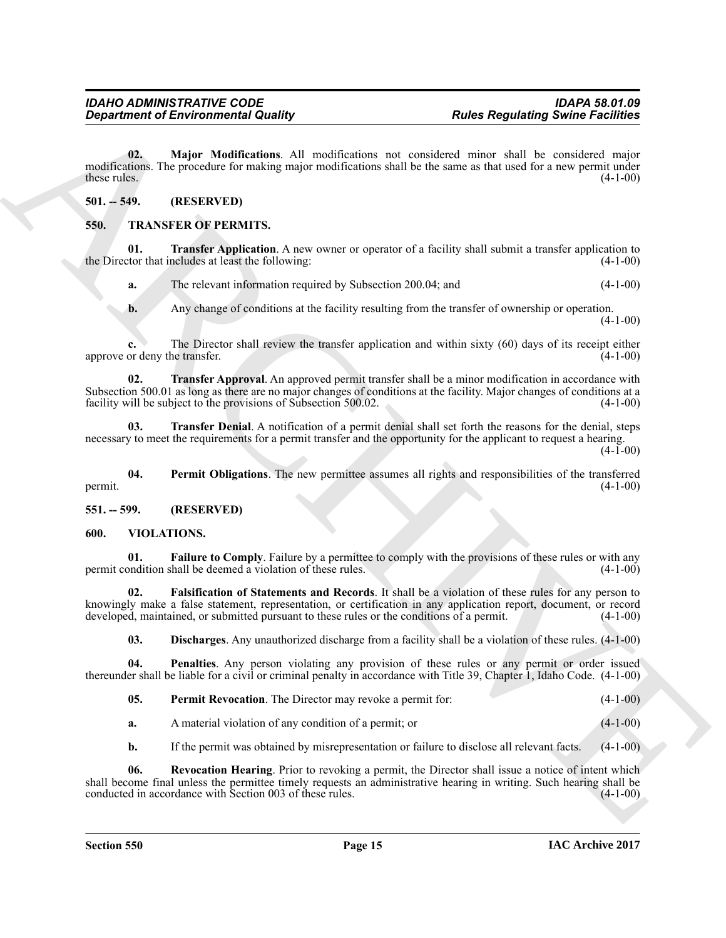<span id="page-14-4"></span>**02. Major Modifications**. All modifications not considered minor shall be considered major modifications. The procedure for making major modifications shall be the same as that used for a new permit under these rules. (4-1-00) these rules.  $(4-1-00)$ 

# <span id="page-14-0"></span>**501. -- 549. (RESERVED)**

# <span id="page-14-5"></span><span id="page-14-1"></span>**550. TRANSFER OF PERMITS.**

**01. Transfer Application**. A new owner or operator of a facility shall submit a transfer application to tor that includes at least the following: (4-1-00) the Director that includes at least the following:

<span id="page-14-7"></span>**a.** The relevant information required by Subsection 200.04; and (4-1-00)

<span id="page-14-8"></span>**b.** Any change of conditions at the facility resulting from the transfer of ownership or operation.  $(4-1-00)$ 

**c.** The Director shall review the transfer application and within sixty (60) days of its receipt either approve or deny the transfer.  $(4-1-00)$ 

**Expansion of Environmental Quality ... Particular and consideration** and consideration of the New Metallicular and consideration of the New Metallicular and the state of the New Metallicular and the state of the New Me **02. Transfer Approval**. An approved permit transfer shall be a minor modification in accordance with Subsection 500.01 as long as there are no major changes of conditions at the facility. Major changes of conditions at a facility will be subject to the provisions of Subsection 500.02. (4-1-00) facility will be subject to the provisions of Subsection 500.02.

<span id="page-14-9"></span>**03. Transfer Denial**. A notification of a permit denial shall set forth the reasons for the denial, steps necessary to meet the requirements for a permit transfer and the opportunity for the applicant to request a hearing.  $(4-1-00)$ 

<span id="page-14-6"></span>**04.** Permit Obligations. The new permittee assumes all rights and responsibilities of the transferred (4-1-00)  $permit.$  (4-1-00)

<span id="page-14-2"></span>**551. -- 599. (RESERVED)**

# <span id="page-14-10"></span><span id="page-14-3"></span>**600. VIOLATIONS.**

<span id="page-14-12"></span>**01. Failure to Comply**. Failure by a permittee to comply with the provisions of these rules or with any pondition shall be deemed a violation of these rules. (4-1-00) permit condition shall be deemed a violation of these rules.

**02. Falsification of Statements and Records**. It shall be a violation of these rules for any person to knowingly make a false statement, representation, or certification in any application report, document, or record developed, maintained, or submitted pursuant to these rules or the conditions of a permit. (4-1-00) developed, maintained, or submitted pursuant to these rules or the conditions of a permit.

<span id="page-14-14"></span><span id="page-14-13"></span><span id="page-14-11"></span>**03. Discharges**. Any unauthorized discharge from a facility shall be a violation of these rules. (4-1-00)

**04. Penalties**. Any person violating any provision of these rules or any permit or order issued thereunder shall be liable for a civil or criminal penalty in accordance with Title 39, Chapter 1, Idaho Code. (4-1-00)

<span id="page-14-15"></span>

| $(4-1-00)$<br>05.<br><b>Permit Revocation.</b> The Director may revoke a permit for: |  |  |  |  |  |
|--------------------------------------------------------------------------------------|--|--|--|--|--|
|--------------------------------------------------------------------------------------|--|--|--|--|--|

**a.** A material violation of any condition of a permit; or  $(4-1-00)$ 

**b.** If the permit was obtained by misrepresentation or failure to disclose all relevant facts.  $(4-1-00)$ 

**06. Revocation Hearing**. Prior to revoking a permit, the Director shall issue a notice of intent which shall become final unless the permittee timely requests an administrative hearing in writing. Such hearing shall be conducted in accordance with Section 003 of these rules. (4-1-00)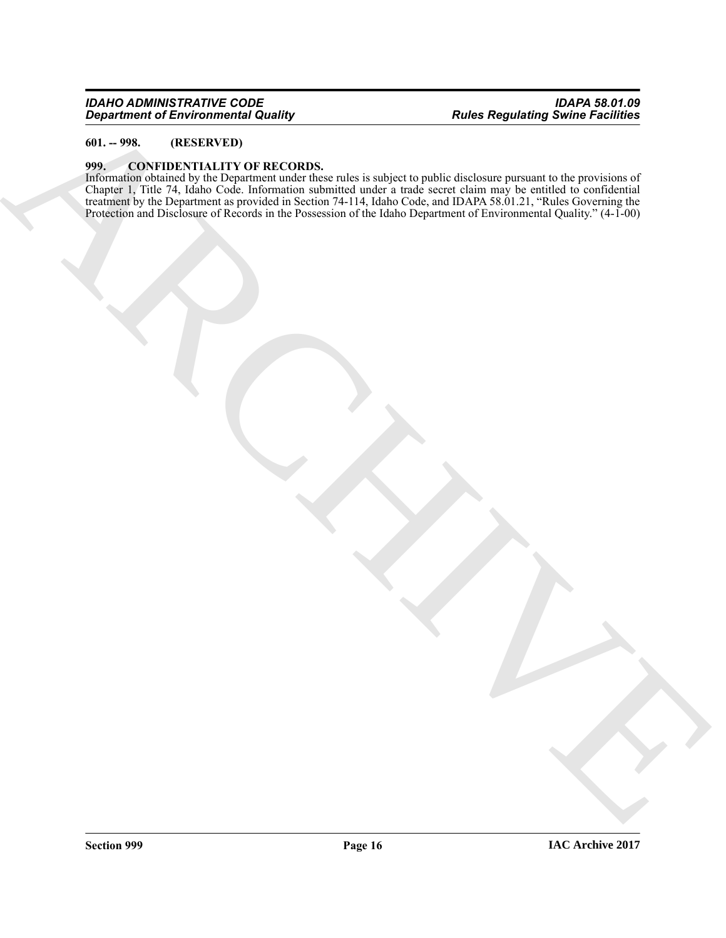# <span id="page-15-0"></span>**601. -- 998. (RESERVED)**

#### <span id="page-15-1"></span>**999. CONFIDENTIALITY OF RECORDS.**

ARCHIVE Information obtained by the Department under these rules is subject to public disclosure pursuant to the provisions of Chapter 1, Title 74, Idaho Code. Information submitted under a trade secret claim may be entitled to confidential treatment by the Department as provided in Section 74-114, Idaho Code, and IDAPA 58.01.21, "Rules Governing the Protection and Disclosure of Records in the Possession of the Idaho Department of Environmental Quality." (4-1-00)